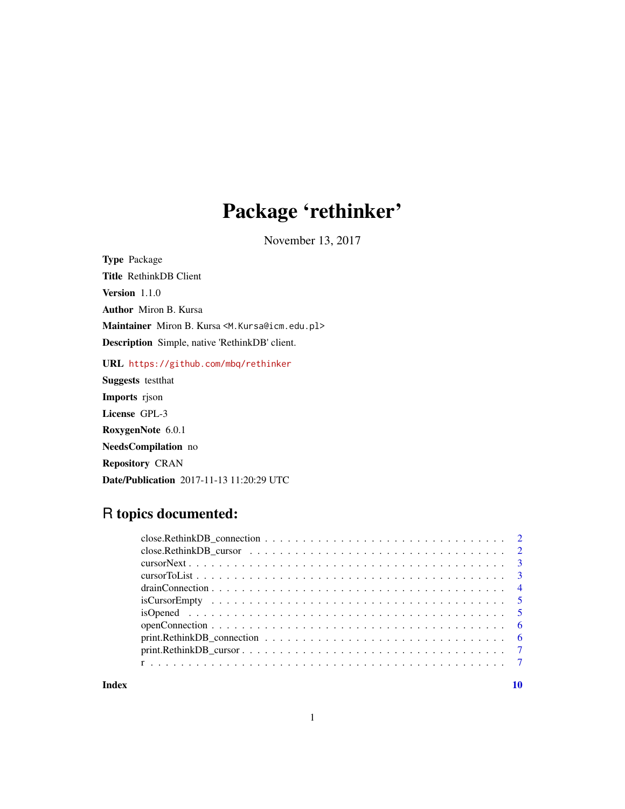## Package 'rethinker'

November 13, 2017

Type Package Title RethinkDB Client Version 1.1.0 Author Miron B. Kursa Maintainer Miron B. Kursa <M. Kursa@icm.edu.pl> Description Simple, native 'RethinkDB' client.

URL <https://github.com/mbq/rethinker>

Suggests testthat Imports rjson License GPL-3 RoxygenNote 6.0.1 NeedsCompilation no Repository CRAN Date/Publication 2017-11-13 11:20:29 UTC

## R topics documented:

| $close$ . Rethink DB_connection $\ldots \ldots \ldots \ldots \ldots \ldots \ldots \ldots \ldots \ldots \ldots 2$        |  |
|-------------------------------------------------------------------------------------------------------------------------|--|
| $close$ . Rethink DB_cursor $\dots \dots \dots \dots \dots \dots \dots \dots \dots \dots \dots \dots \dots \dots \dots$ |  |
|                                                                                                                         |  |
|                                                                                                                         |  |
|                                                                                                                         |  |
|                                                                                                                         |  |
|                                                                                                                         |  |
|                                                                                                                         |  |
| $print$ . Rethink DB_connection $\ldots \ldots \ldots \ldots \ldots \ldots \ldots \ldots \ldots \ldots \ldots \ldots$   |  |
|                                                                                                                         |  |
|                                                                                                                         |  |

 $\blacksquare$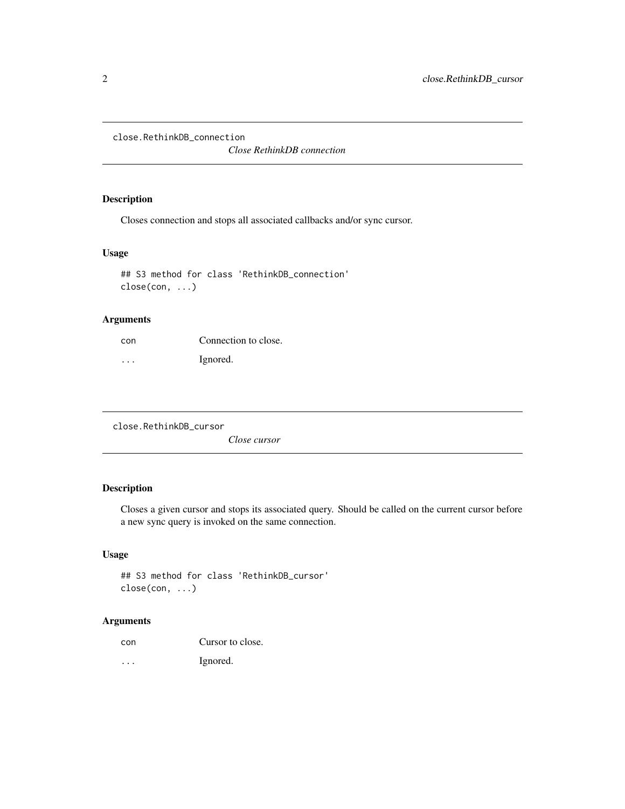<span id="page-1-0"></span>close.RethinkDB\_connection

*Close RethinkDB connection*

## Description

Closes connection and stops all associated callbacks and/or sync cursor.

### Usage

```
## S3 method for class 'RethinkDB_connection'
close(con, ...)
```
## Arguments

| con                     | Connection to close. |
|-------------------------|----------------------|
| $\cdot$ $\cdot$ $\cdot$ | Ignored.             |

close.RethinkDB\_cursor

*Close cursor*

## Description

Closes a given cursor and stops its associated query. Should be called on the current cursor before a new sync query is invoked on the same connection.

## Usage

```
## S3 method for class 'RethinkDB_cursor'
close(con, ...)
```
## Arguments

| con | Cursor to close. |
|-----|------------------|
|     |                  |

... Ignored.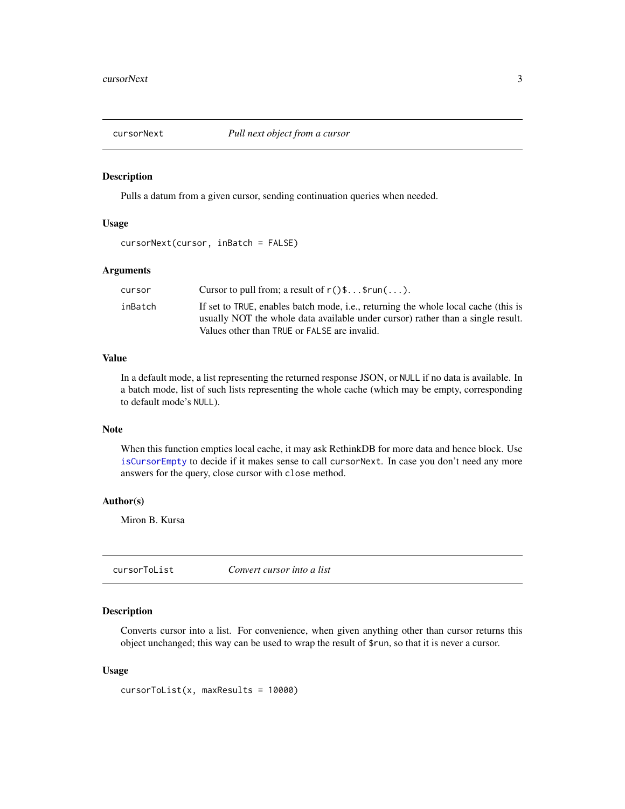<span id="page-2-1"></span><span id="page-2-0"></span>

#### Description

Pulls a datum from a given cursor, sending continuation queries when needed.

#### Usage

```
cursorNext(cursor, inBatch = FALSE)
```
## Arguments

| cursor  | Cursor to pull from; a result of $r()$ \$\$run $( \ldots )$ .                      |
|---------|------------------------------------------------------------------------------------|
| inBatch | If set to TRUE, enables batch mode, i.e., returning the whole local cache (this is |
|         | usually NOT the whole data available under cursor) rather than a single result.    |
|         | Values other than TRUE or FALSE are invalid.                                       |

#### Value

In a default mode, a list representing the returned response JSON, or NULL if no data is available. In a batch mode, list of such lists representing the whole cache (which may be empty, corresponding to default mode's NULL).

## Note

When this function empties local cache, it may ask RethinkDB for more data and hence block. Use [isCursorEmpty](#page-4-1) to decide if it makes sense to call cursorNext. In case you don't need any more answers for the query, close cursor with close method.

#### Author(s)

Miron B. Kursa

<span id="page-2-2"></span>cursorToList *Convert cursor into a list*

#### Description

Converts cursor into a list. For convenience, when given anything other than cursor returns this object unchanged; this way can be used to wrap the result of \$run, so that it is never a cursor.

#### Usage

```
cursorToList(x, maxResults = 10000)
```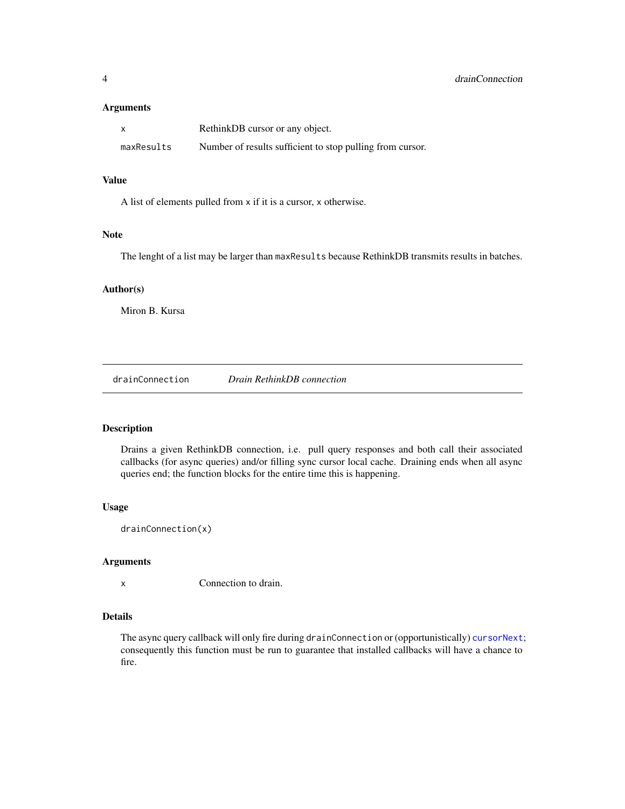## <span id="page-3-0"></span>Arguments

| X          | RethinkDB cursor or any object.                           |
|------------|-----------------------------------------------------------|
| maxResults | Number of results sufficient to stop pulling from cursor. |

## Value

A list of elements pulled from x if it is a cursor, x otherwise.

## Note

The lenght of a list may be larger than maxResults because RethinkDB transmits results in batches.

#### Author(s)

Miron B. Kursa

<span id="page-3-1"></span>drainConnection *Drain RethinkDB connection*

## Description

Drains a given RethinkDB connection, i.e. pull query responses and both call their associated callbacks (for async queries) and/or filling sync cursor local cache. Draining ends when all async queries end; the function blocks for the entire time this is happening.

## Usage

drainConnection(x)

#### Arguments

x Connection to drain.

#### Details

The async query callback will only fire during drainConnection or (opportunistically) [cursorNext](#page-2-1); consequently this function must be run to guarantee that installed callbacks will have a chance to fire.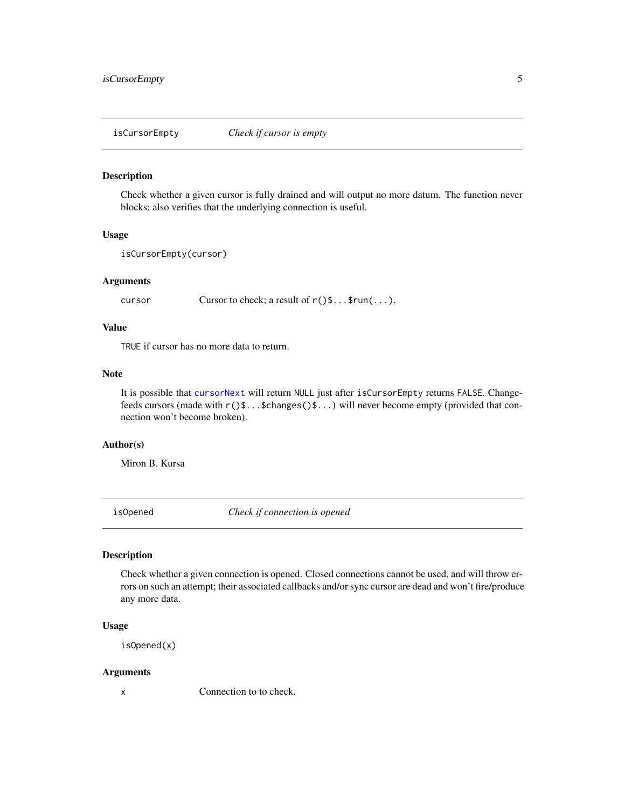<span id="page-4-1"></span><span id="page-4-0"></span>isCursorEmpty *Check if cursor is empty*

#### Description

Check whether a given cursor is fully drained and will output no more datum. The function never blocks; also verifies that the underlying connection is useful.

## Usage

```
isCursorEmpty(cursor)
```
## Arguments

cursor Cursor to check; a result of  $r()$ \$...\$run(...).

## Value

TRUE if cursor has no more data to return.

## Note

It is possible that [cursorNext](#page-2-1) will return NULL just after isCursorEmpty returns FALSE. Changefeeds cursors (made with  $r()$ \$...\$changes()\$...) will never become empty (provided that connection won't become broken).

#### Author(s)

Miron B. Kursa

isOpened *Check if connection is opened*

## **Description**

Check whether a given connection is opened. Closed connections cannot be used, and will throw errors on such an attempt; their associated callbacks and/or sync cursor are dead and won't fire/produce any more data.

#### Usage

isOpened(x)

#### Arguments

x Connection to to check.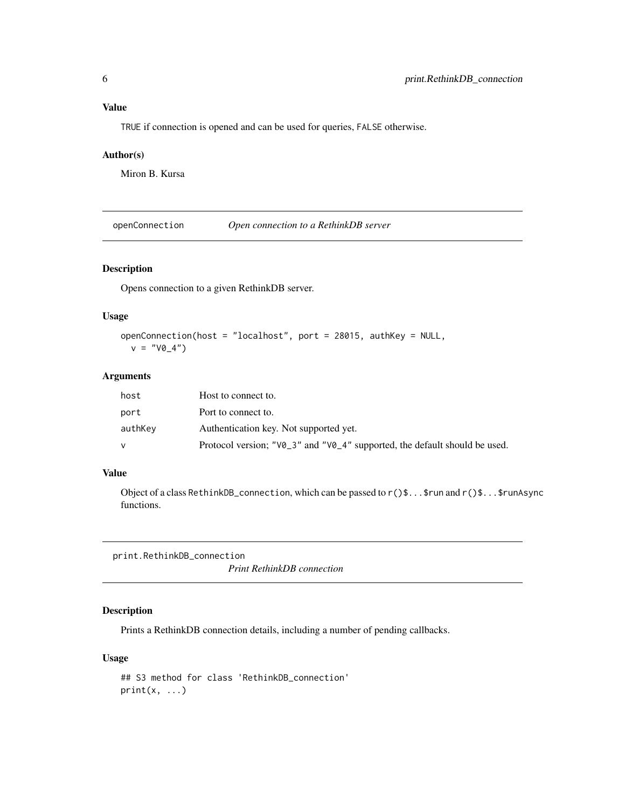## <span id="page-5-0"></span>Value

TRUE if connection is opened and can be used for queries, FALSE otherwise.

## Author(s)

Miron B. Kursa

openConnection *Open connection to a RethinkDB server*

## Description

Opens connection to a given RethinkDB server.

## Usage

```
openConnection(host = "localhost", port = 28015, authKey = NULL,
 v = "V0_4")
```
## Arguments

| host    | Host to connect to.                                                                          |
|---------|----------------------------------------------------------------------------------------------|
| port    | Port to connect to.                                                                          |
| authKev | Authentication key. Not supported yet.                                                       |
|         | Protocol version; " $\sqrt{0}$ 3" and " $\sqrt{0}$ 4" supported, the default should be used. |

#### Value

Object of a class RethinkDB\_connection, which can be passed to  $r()$ \$...\$run and  $r()$ \$...\$runAsync functions.

print.RethinkDB\_connection

*Print RethinkDB connection*

## Description

Prints a RethinkDB connection details, including a number of pending callbacks.

## Usage

```
## S3 method for class 'RethinkDB_connection'
print(x, \ldots)
```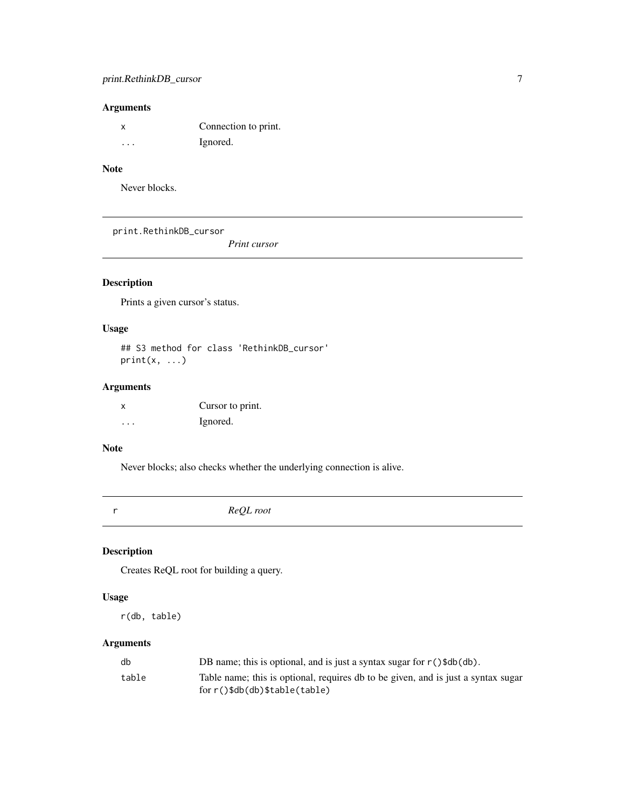## <span id="page-6-0"></span>Arguments

|   | Connection to print. |
|---|----------------------|
| . | Ignored.             |

## Note

Never blocks.

print.RethinkDB\_cursor

*Print cursor*

## Description

Prints a given cursor's status.

## Usage

## S3 method for class 'RethinkDB\_cursor'  $print(x, \ldots)$ 

## Arguments

| X | Cursor to print. |
|---|------------------|
| . | Ignored.         |

#### Note

Never blocks; also checks whether the underlying connection is alive.

r *ReQL root*

Description

Creates ReQL root for building a query.

## Usage

r(db, table)

## Arguments

| db    | DB name; this is optional, and is just a syntax sugar for $r()$ \$db $(db)$ .     |
|-------|-----------------------------------------------------------------------------------|
| table | Table name; this is optional, requires db to be given, and is just a syntax sugar |
|       | $for r()$ \$db $(db)$ \$table $(table)$                                           |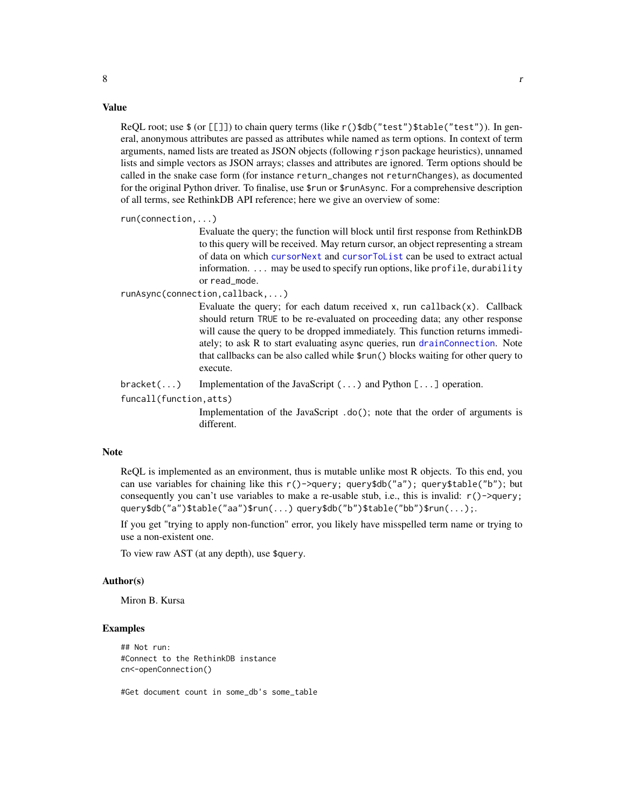#### Value

ReQL root; use \$ (or [[]]) to chain query terms (like r()\$db("test")\$table("test")). In general, anonymous attributes are passed as attributes while named as term options. In context of term arguments, named lists are treated as JSON objects (following rjson package heuristics), unnamed lists and simple vectors as JSON arrays; classes and attributes are ignored. Term options should be called in the snake case form (for instance return\_changes not returnChanges), as documented for the original Python driver. To finalise, use \$run or \$runAsync. For a comprehensive description of all terms, see RethinkDB API reference; here we give an overview of some:

run(connection,...)

Evaluate the query; the function will block until first response from RethinkDB to this query will be received. May return cursor, an object representing a stream of data on which [cursorNext](#page-2-1) and [cursorToList](#page-2-2) can be used to extract actual information. ... may be used to specify run options, like profile, durability or read\_mode.

runAsync(connection,callback,...)

Evaluate the query; for each datum received x, run callback $(x)$ . Callback should return TRUE to be re-evaluated on proceeding data; any other response will cause the query to be dropped immediately. This function returns immediately; to ask R to start evaluating async queries, run [drainConnection](#page-3-1). Note that callbacks can be also called while \$run() blocks waiting for other query to execute.

bracket(...) Implementation of the JavaScript  $(\ldots)$  and Python  $[\ldots]$  operation.

funcall(function,atts)

Implementation of the JavaScript .do(); note that the order of arguments is different.

#### Note

ReQL is implemented as an environment, thus is mutable unlike most R objects. To this end, you can use variables for chaining like this r()->query; query\$db("a"); query\$table("b"); but consequently you can't use variables to make a re-usable stub, i.e., this is invalid:  $r()$ ->query; query\$db("a")\$table("aa")\$run(...) query\$db("b")\$table("bb")\$run(...);.

If you get "trying to apply non-function" error, you likely have misspelled term name or trying to use a non-existent one.

To view raw AST (at any depth), use \$query.

#### Author(s)

Miron B. Kursa

## Examples

```
## Not run:
#Connect to the RethinkDB instance
cn<-openConnection()
```
#Get document count in some\_db's some\_table

<span id="page-7-0"></span> $8 \t\t\t r$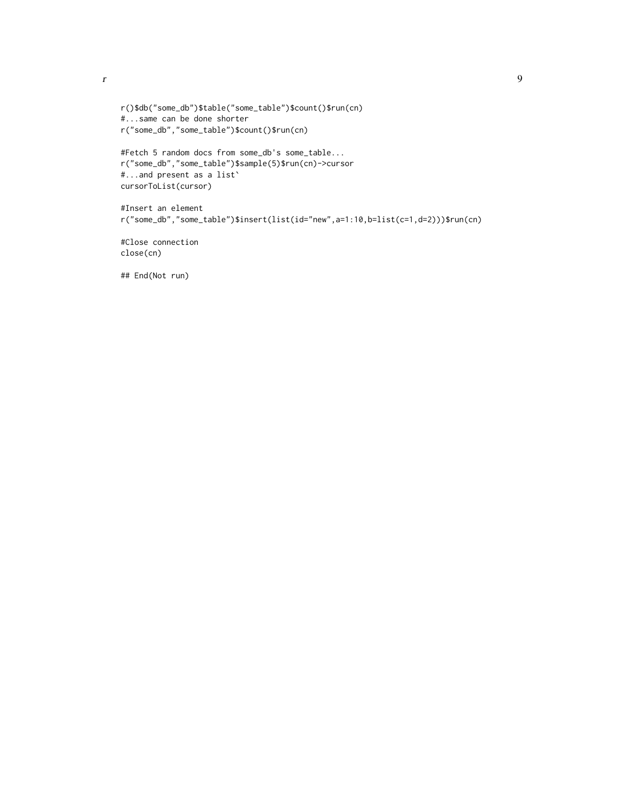```
r()$db("some_db")$table("some_table")$count()$run(cn)
#...same can be done shorter
r("some_db","some_table")$count()$run(cn)
```

```
#Fetch 5 random docs from some_db's some_table...
r("some_db","some_table")$sample(5)$run(cn)->cursor
#...and present as a list`
cursorToList(cursor)
```

```
#Insert an element
r("some_db","some_table")$insert(list(id="new",a=1:10,b=list(c=1,d=2)))$run(cn)
```
#Close connection close(cn)

## End(Not run)